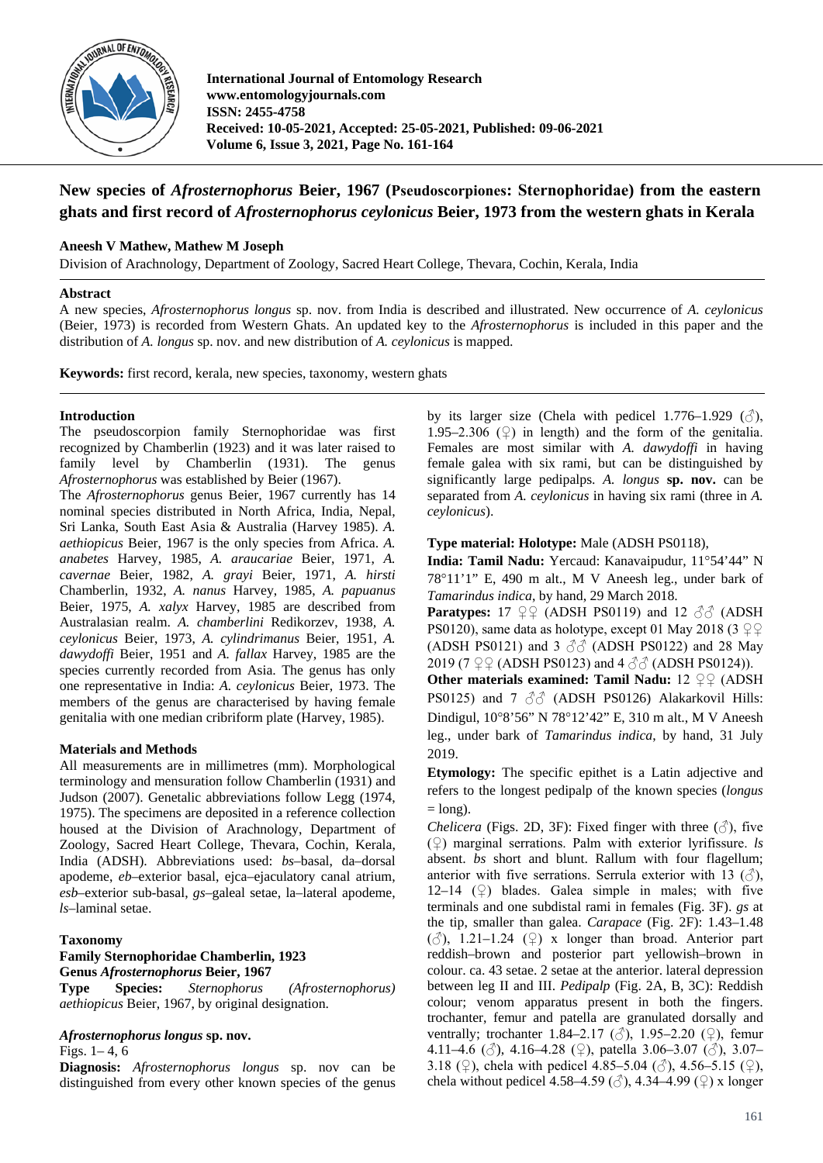

**International Journal of Entomology Research www.entomologyjournals.com ISSN: 2455-4758 Received: 10-05-2021, Accepted: 25-05-2021, Published: 09-06-2021 Volume 6, Issue 3, 2021, Page No. 161-164**

# **New species of** *Afrosternophorus* **Beier, 1967 (Pseudoscorpiones: Sternophoridae) from the eastern ghats and first record of** *Afrosternophorus ceylonicus* **Beier, 1973 from the western ghats in Kerala**

# **Aneesh V Mathew, Mathew M Joseph**

Division of Arachnology, Department of Zoology, Sacred Heart College, Thevara, Cochin, Kerala, India

#### **Abstract**

A new species, *Afrosternophorus longus* sp. nov. from India is described and illustrated. New occurrence of *A. ceylonicus*  (Beier, 1973) is recorded from Western Ghats. An updated key to the *Afrosternophorus* is included in this paper and the distribution of *A. longus* sp. nov. and new distribution of *A. ceylonicus* is mapped.

**Keywords:** first record, kerala, new species, taxonomy, western ghats

### **Introduction**

The pseudoscorpion family Sternophoridae was first recognized by Chamberlin (1923) and it was later raised to family level by Chamberlin (1931). The genus *Afrosternophorus* was established by Beier (1967).

The *Afrosternophorus* genus Beier, 1967 currently has 14 nominal species distributed in North Africa, India, Nepal, Sri Lanka, South East Asia & Australia (Harvey 1985). *A. aethiopicus* Beier, 1967 is the only species from Africa. *A. anabetes* Harvey, 1985, *A. araucariae* Beier, 1971, *A. cavernae* Beier, 1982, *A. grayi* Beier, 1971, *A. hirsti*  Chamberlin, 1932, *A. nanus* Harvey, 1985, *A. papuanus*  Beier, 1975, *A. xalyx* Harvey, 1985 are described from Australasian realm. *A. chamberlini* Redikorzev, 1938*, A. ceylonicus* Beier, 1973, *A. cylindrimanus* Beier, 1951*, A. dawydoffi* Beier, 1951 and *A. fallax* Harvey, 1985 are the species currently recorded from Asia. The genus has only one representative in India: *A. ceylonicus* Beier, 1973. The members of the genus are characterised by having female genitalia with one median cribriform plate (Harvey, 1985).

### **Materials and Methods**

All measurements are in millimetres (mm). Morphological terminology and mensuration follow Chamberlin (1931) and Judson (2007). Genetalic abbreviations follow Legg (1974, 1975). The specimens are deposited in a reference collection housed at the Division of Arachnology, Department of Zoology, Sacred Heart College, Thevara, Cochin, Kerala, India (ADSH). Abbreviations used: *bs*–basal, da–dorsal apodeme, *eb*–exterior basal, ejca–ejaculatory canal atrium, *esb*–exterior sub-basal, *gs*–galeal setae, la–lateral apodeme, *ls*–laminal setae.

### **Taxonomy**

### **Family Sternophoridae Chamberlin, 1923 Genus** *Afrosternophorus* **Beier, 1967**

**Type Species:** *Sternophorus (Afrosternophorus) aethiopicus* Beier, 1967, by original designation.

# *Afrosternophorus longus* **sp. nov.**

Figs. 1– 4, 6

**Diagnosis:** *Afrosternophorus longus* sp. nov can be distinguished from every other known species of the genus

by its larger size (Chela with pedicel 1.776–1.929  $(\text{A})$ , 1.95–2.306  $(\circled{2})$  in length) and the form of the genitalia. Females are most similar with *A. dawydoffi* in having female galea with six rami, but can be distinguished by significantly large pedipalps. *A. longus* **sp. nov.** can be separated from *A. ceylonicus* in having six rami (three in *A. ceylonicus*).

### **Type material: Holotype:** Male (ADSH PS0118),

**India: Tamil Nadu:** Yercaud: Kanavaipudur, 11°54'44" N 78°11'1" E, 490 m alt., M V Aneesh leg., under bark of *Tamarindus indica*, by hand, 29 March 2018.

**Paratypes:** 17  $\mathcal{Q} \mathcal{Q}$  (ADSH PS0119) and 12  $\partial \mathcal{Q}$  (ADSH PS0120), same data as holotype, except 01 May 2018 (3  $\mathcal{Q} \mathcal{Q}$ (ADSH PS0121) and 3  $\partial \partial$  (ADSH PS0122) and 28 May 2019 (7  $\mathcal{Q} \mathcal{Q}$  (ADSH PS0123) and 4  $\partial \partial$  (ADSH PS0124)).

**Other materials examined: Tamil Nadu:** 12 ♀♀ (ADSH PS0125) and 7  $\partial$  (ADSH PS0126) Alakarkovil Hills: Dindigul, 10°8'56" N 78°12'42" E, 310 m alt., M V Aneesh leg., under bark of *Tamarindus indica*, by hand, 31 July 2019.

**Etymology:** The specific epithet is a Latin adjective and refers to the longest pedipalp of the known species (*longus*  $=$  long).

*Chelicera* (Figs. 2D, 3F): Fixed finger with three  $(\vec{\zeta})$ , five (♀) marginal serrations. Palm with exterior lyrifissure. *ls* absent. *bs* short and blunt. Rallum with four flagellum; anterior with five serrations. Serrula exterior with 13  $(\vec{a})$ , 12–14  $(\mathcal{Q})$  blades. Galea simple in males; with five terminals and one subdistal rami in females (Fig. 3F). *gs* at the tip, smaller than galea. *Carapace* (Fig. 2F): 1.43–1.48  $(\text{A})$ , 1.21–1.24  $(\text{A})$  x longer than broad. Anterior part reddish–brown and posterior part yellowish–brown in colour. ca. 43 setae. 2 setae at the anterior. lateral depression between leg II and III. *Pedipalp* (Fig. 2A, B, 3C): Reddish colour; venom apparatus present in both the fingers. trochanter, femur and patella are granulated dorsally and ventrally; trochanter 1.84–2.17 ( $\circ$ ), 1.95–2.20 ( $\circ$ ), femur 4.11–4.6 ( $\circ$ ), 4.16–4.28 ( $\circ$ ), patella 3.06–3.07 ( $\circ$ ), 3.07– 3.18 (♀), chela with pedicel 4.85–5.04 (♂), 4.56–5.15 (♀), chela without pedicel 4.58–4.59 ( $\Diamond$ ), 4.34–4.99 ( $\Diamond$ ) x longer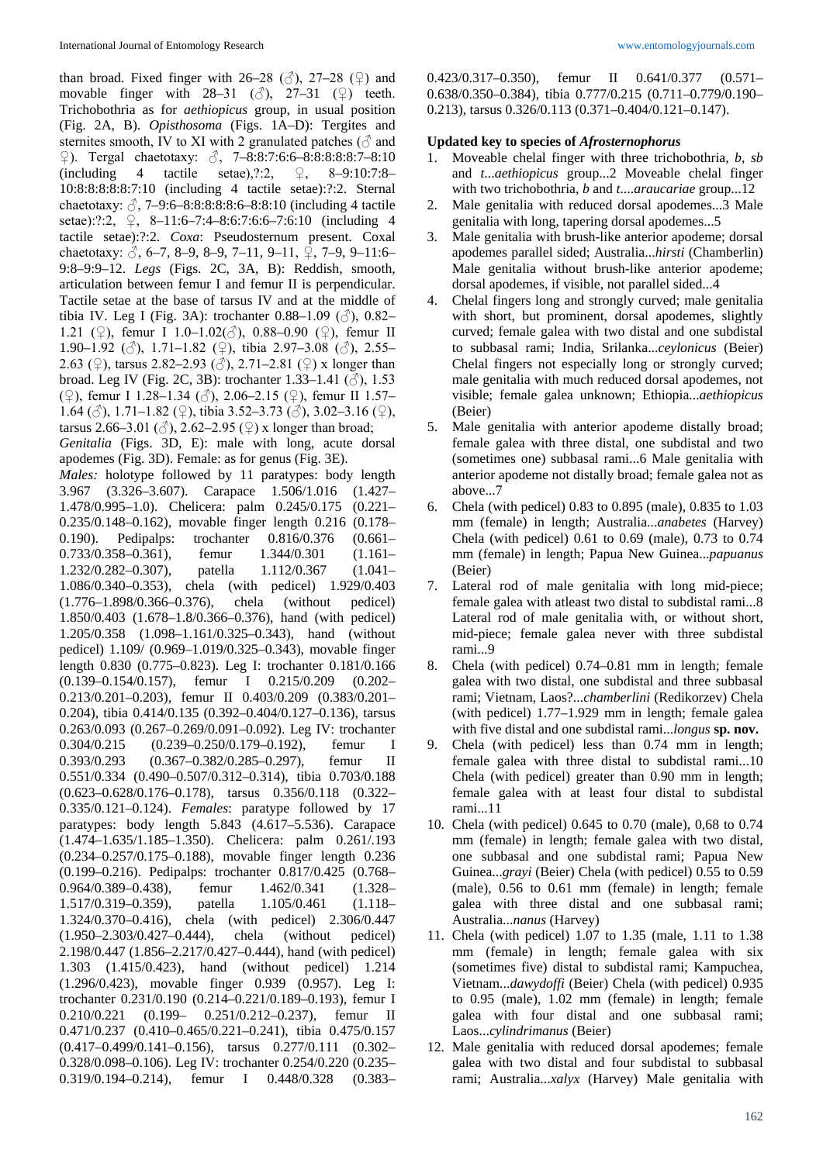than broad. Fixed finger with 26–28 ( $\circ$ ), 27–28 ( $\circ$ ) and movable finger with  $28-31$  ( $\circled{)}$ ),  $27-31$  ( $\circled{)}$ ) teeth. Trichobothria as for *aethiopicus* group, in usual position (Fig. 2A, B). *Opisthosoma* (Figs. 1A–D): Tergites and sternites smooth, IV to XI with 2 granulated patches  $(\delta$  and ♀). Tergal chaetotaxy: ♂, 7–8:8:7:6:6–8:8:8:8:8:7–8:10 (including 4 tactile setae),?:2,  $\varphi$ , 8–9:10:7:8– 10:8:8:8:8:8:7:10 (including 4 tactile setae):?:2. Sternal chaetotaxy:  $\beta$ , 7–9:6–8:8:8:8:6–8:8:10 (including 4 tactile setae):?:2, ♀, 8–11:6–7:4–8:6:7:6:6–7:6:10 (including 4 tactile setae):?:2. *Coxa*: Pseudosternum present. Coxal chaetotaxy:  $\beta$ , 6–7, 8–9, 8–9, 7–11, 9–11,  $\overline{2}$ , 7–9, 9–11:6– 9:8–9:9–12. *Legs* (Figs. 2C, 3A, B): Reddish, smooth, articulation between femur I and femur II is perpendicular. Tactile setae at the base of tarsus IV and at the middle of tibia IV. Leg I (Fig. 3A): trochanter  $0.88-1.09$  ( $\circ$ ),  $0.82-$ 1.21 (♀), femur I 1.0–1.02(♂), 0.88–0.90 (♀), femur II 1.90–1.92 ( $\circ$ ), 1.71–1.82 ( $\circ$ ), tibia 2.97–3.08 ( $\circ$ ), 2.55– 2.63 (♀), tarsus 2.82–2.93 (♂), 2.71–2.81 (♀) x longer than broad. Leg IV (Fig. 2C, 3B): trochanter 1.33-1.41 ( $\circ$ ), 1.53 (♀), femur I 1.28–1.34 (♂), 2.06–2.15 (♀), femur II 1.57– 1.64 ( $\circ$ ), 1.71–1.82 ( $\circ$ ), tibia 3.52–3.73 ( $\circ$ ), 3.02–3.16 ( $\circ$ ), tarsus 2.66–3.01 ( $\Diamond$ ), 2.62–2.95 ( $\Diamond$ ) x longer than broad; *Genitalia* (Figs. 3D, E): male with long, acute dorsal apodemes (Fig. 3D). Female: as for genus (Fig. 3E). *Males:* holotype followed by 11 paratypes: body length 3.967 (3.326–3.607). Carapace 1.506/1.016 (1.427– 1.478/0.995–1.0). Chelicera: palm 0.245/0.175 (0.221– 0.235/0.148–0.162), movable finger length 0.216 (0.178– 0.190). Pedipalps: trochanter 0.816/0.376 (0.661– 0.733/0.358–0.361), femur 1.344/0.301 (1.161– 1.232/0.282–0.307), patella 1.112/0.367 (1.041– 1.086/0.340–0.353), chela (with pedicel) 1.929/0.403 (1.776–1.898/0.366–0.376), chela (without pedicel) 1.850/0.403 (1.678–1.8/0.366–0.376), hand (with pedicel) 1.205/0.358 (1.098–1.161/0.325–0.343), hand (without pedicel) 1.109/ (0.969–1.019/0.325–0.343), movable finger length 0.830 (0.775–0.823). Leg I: trochanter 0.181/0.166 (0.139–0.154/0.157), femur I 0.215/0.209 (0.202– 0.213/0.201–0.203), femur II 0.403/0.209 (0.383/0.201– 0.204), tibia 0.414/0.135 (0.392–0.404/0.127–0.136), tarsus 0.263/0.093 (0.267–0.269/0.091–0.092). Leg IV: trochanter 0.304/0.215 (0.239–0.250/0.179–0.192), femur I 0.393/0.293 (0.367-0.382/0.285-0.297), femur II 0.551/0.334 (0.490–0.507/0.312–0.314), tibia 0.703/0.188 (0.623–0.628/0.176–0.178), tarsus 0.356/0.118 (0.322– 0.335/0.121–0.124). *Females*: paratype followed by 17 paratypes: body length 5.843 (4.617–5.536). Carapace (1.474–1.635/1.185–1.350). Chelicera: palm 0.261/.193 (0.234–0.257/0.175–0.188), movable finger length 0.236 (0.199–0.216). Pedipalps: trochanter 0.817/0.425 (0.768– 0.964/0.389–0.438), femur 1.462/0.341 (1.328– 1.517/0.319–0.359), patella 1.105/0.461 (1.118– 1.324/0.370–0.416), chela (with pedicel) 2.306/0.447 (1.950–2.303/0.427–0.444), chela (without pedicel) 2.198/0.447 (1.856–2.217/0.427–0.444), hand (with pedicel) 1.303 (1.415/0.423), hand (without pedicel) 1.214 (1.296/0.423), movable finger 0.939 (0.957). Leg I: trochanter 0.231/0.190 (0.214–0.221/0.189–0.193), femur I 0.210/0.221 (0.199– 0.251/0.212–0.237), femur II 0.471/0.237 (0.410–0.465/0.221–0.241), tibia 0.475/0.157 (0.417–0.499/0.141–0.156), tarsus 0.277/0.111 (0.302– 0.328/0.098–0.106). Leg IV: trochanter 0.254/0.220 (0.235– 0.319/0.194–0.214), femur I 0.448/0.328 (0.383–

0.423/0.317–0.350), femur II 0.641/0.377 (0.571– 0.638/0.350–0.384), tibia 0.777/0.215 (0.711–0.779/0.190– 0.213), tarsus 0.326/0.113 (0.371–0.404/0.121–0.147).

### **Updated key to species of** *Afrosternophorus*

- 1. Moveable chelal finger with three trichobothria, *b*, *sb* and *t*...*aethiopicus* group...2 Moveable chelal finger with two trichobothria, *b* and *t*....*araucariae* group...12
- 2. Male genitalia with reduced dorsal apodemes...3 Male genitalia with long, tapering dorsal apodemes...5
- 3. Male genitalia with brush-like anterior apodeme; dorsal apodemes parallel sided; Australia...*hirsti* (Chamberlin) Male genitalia without brush-like anterior apodeme; dorsal apodemes, if visible, not parallel sided...4
- 4. Chelal fingers long and strongly curved; male genitalia with short, but prominent, dorsal apodemes, slightly curved; female galea with two distal and one subdistal to subbasal rami; India, Srilanka...*ceylonicus* (Beier) Chelal fingers not especially long or strongly curved; male genitalia with much reduced dorsal apodemes, not visible; female galea unknown; Ethiopia...*aethiopicus*  (Beier)
- 5. Male genitalia with anterior apodeme distally broad; female galea with three distal, one subdistal and two (sometimes one) subbasal rami...6 Male genitalia with anterior apodeme not distally broad; female galea not as above...7
- 6. Chela (with pedicel) 0.83 to 0.895 (male), 0.835 to 1.03 mm (female) in length; Australia...*anabetes* (Harvey) Chela (with pedicel) 0.61 to 0.69 (male), 0.73 to 0.74 mm (female) in length; Papua New Guinea...*papuanus* (Beier)
- 7. Lateral rod of male genitalia with long mid-piece; female galea with atleast two distal to subdistal rami...8 Lateral rod of male genitalia with, or without short, mid-piece; female galea never with three subdistal rami...9
- 8. Chela (with pedicel) 0.74–0.81 mm in length; female galea with two distal, one subdistal and three subbasal rami; Vietnam, Laos?...*chamberlini* (Redikorzev) Chela (with pedicel) 1.77–1.929 mm in length; female galea with five distal and one subdistal rami...*longus* **sp. nov.**
- 9. Chela (with pedicel) less than 0.74 mm in length; female galea with three distal to subdistal rami...10 Chela (with pedicel) greater than 0.90 mm in length; female galea with at least four distal to subdistal rami...11
- 10. Chela (with pedicel) 0.645 to 0.70 (male), 0,68 to 0.74 mm (female) in length; female galea with two distal, one subbasal and one subdistal rami; Papua New Guinea...*gravi* (Beier) Chela (with pedicel) 0.55 to 0.59 (male), 0.56 to 0.61 mm (female) in length; female galea with three distal and one subbasal rami; Australia...*nanus* (Harvey)
- 11. Chela (with pedicel) 1.07 to 1.35 (male, 1.11 to 1.38 mm (female) in length; female galea with six (sometimes five) distal to subdistal rami; Kampuchea, Vietnam...*dawydoffi* (Beier) Chela (with pedicel) 0.935 to 0.95 (male), 1.02 mm (female) in length; female galea with four distal and one subbasal rami; Laos...*cylindrimanus* (Beier)
- 12. Male genitalia with reduced dorsal apodemes; female galea with two distal and four subdistal to subbasal rami; Australia...*xalyx* (Harvey) Male genitalia with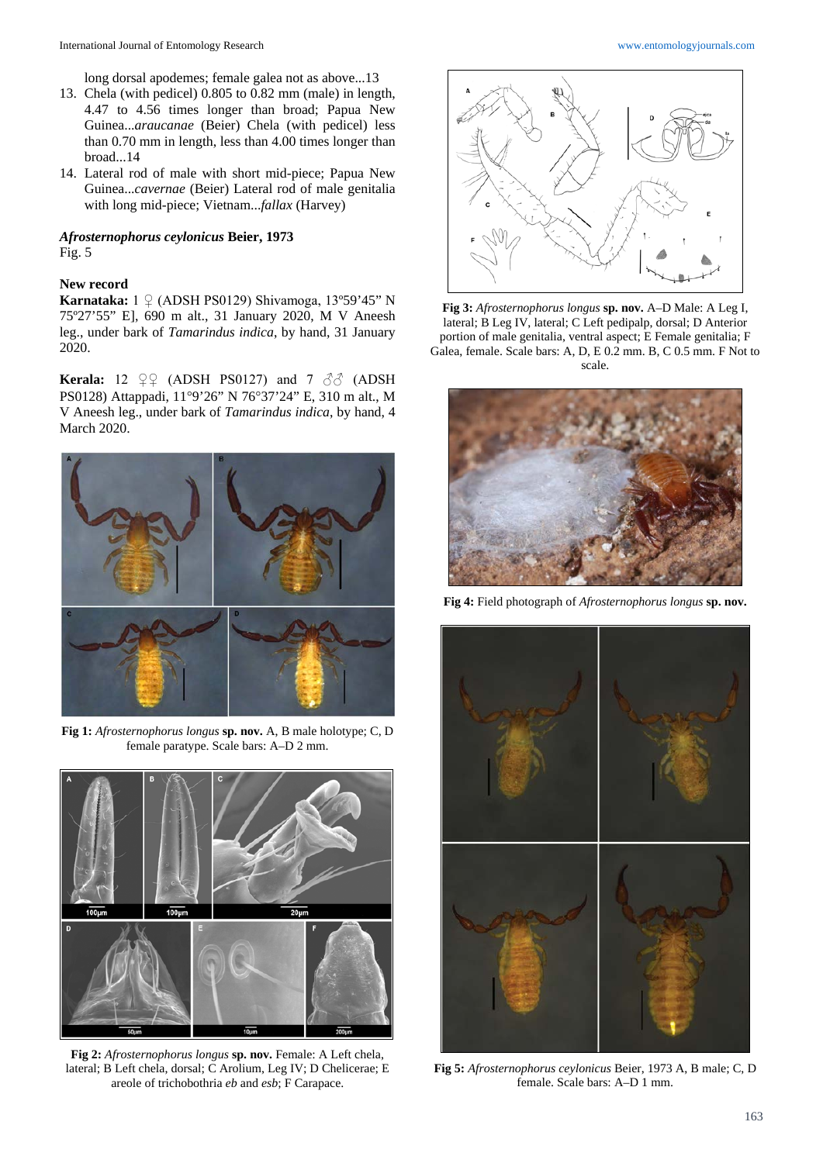long dorsal apodemes; female galea not as above...13

- 13. Chela (with pedicel) 0.805 to 0.82 mm (male) in length, 4.47 to 4.56 times longer than broad; Papua New Guinea...*araucanae* (Beier) Chela (with pedicel) less than 0.70 mm in length, less than 4.00 times longer than broad...14
- 14. Lateral rod of male with short mid-piece; Papua New Guinea...*cavernae* (Beier) Lateral rod of male genitalia with long mid-piece; Vietnam...*fallax* (Harvey)

#### *Afrosternophorus ceylonicus* **Beier, 1973**  Fig. 5

### **New record**

**Karnataka:** 1 ♀ (ADSH PS0129) Shivamoga, 13º59'45" N 75º27'55" E], 690 m alt., 31 January 2020, M V Aneesh leg., under bark of *Tamarindus indica*, by hand, 31 January 2020.

**Kerala:** 12  $\mathcal{Q} \mathcal{Q}$  (ADSH PS0127) and 7  $\partial \mathcal{Q}$  (ADSH PS0128) Attappadi, 11°9'26" N 76°37'24" E, 310 m alt., M V Aneesh leg., under bark of *Tamarindus indica*, by hand, 4 March 2020.



**Fig 1:** *Afrosternophorus longus* **sp. nov.** A, B male holotype; C, D female paratype. Scale bars: A–D 2 mm.



**Fig 2:** *Afrosternophorus longus* **sp. nov.** Female: A Left chela, lateral; B Left chela, dorsal; C Arolium, Leg IV; D Chelicerae; E areole of trichobothria *eb* and *esb*; F Carapace.



**Fig 3:** *Afrosternophorus longus* **sp. nov.** A–D Male: A Leg I, lateral; B Leg IV, lateral; C Left pedipalp, dorsal; D Anterior portion of male genitalia, ventral aspect; E Female genitalia; F Galea, female. Scale bars: A, D, E 0.2 mm. B, C 0.5 mm. F Not to scale.



**Fig 4:** Field photograph of *Afrosternophorus longus* **sp. nov.**



**Fig 5:** *Afrosternophorus ceylonicus* Beier, 1973 A, B male; C, D female. Scale bars: A–D 1 mm.